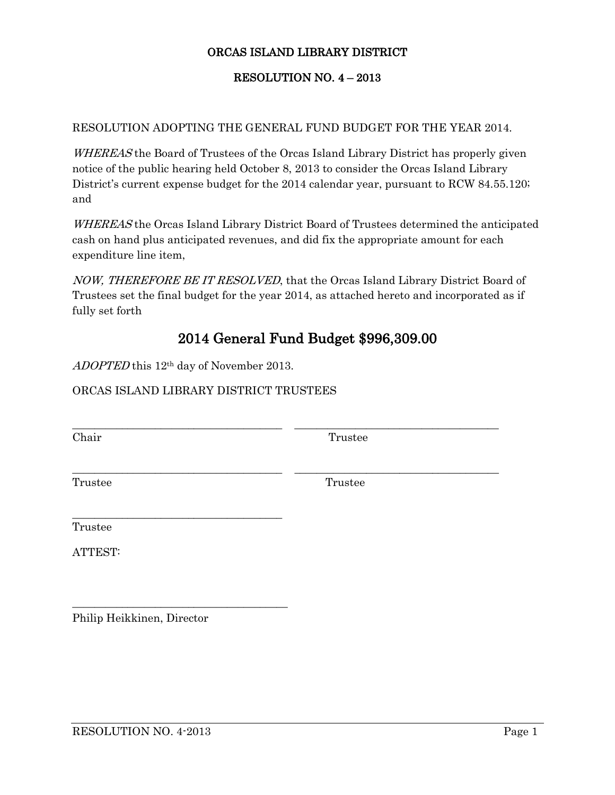## ORCAS ISLAND LIBRARY DISTRICT

## RESOLUTION NO. 4 – 2013

## RESOLUTION ADOPTING THE GENERAL FUND BUDGET FOR THE YEAR 2014.

WHEREAS the Board of Trustees of the Orcas Island Library District has properly given notice of the public hearing held October 8, 2013 to consider the Orcas Island Library District's current expense budget for the 2014 calendar year, pursuant to RCW 84.55.120; and

WHEREAS the Orcas Island Library District Board of Trustees determined the anticipated cash on hand plus anticipated revenues, and did fix the appropriate amount for each expenditure line item,

NOW, THEREFORE BE IT RESOLVED, that the Orcas Island Library District Board of Trustees set the final budget for the year 2014, as attached hereto and incorporated as if fully set forth

## 2014 General Fund Budget \$996,309.00

\_\_\_\_\_\_\_\_\_\_\_\_\_\_\_\_\_\_\_\_\_\_\_\_\_\_\_\_\_\_\_\_\_\_\_\_\_\_ \_\_\_\_\_\_\_\_\_\_\_\_\_\_\_\_\_\_\_\_\_\_\_\_\_\_\_\_\_\_\_\_\_\_\_\_\_

\_\_\_\_\_\_\_\_\_\_\_\_\_\_\_\_\_\_\_\_\_\_\_\_\_\_\_\_\_\_\_\_\_\_\_\_\_\_ \_\_\_\_\_\_\_\_\_\_\_\_\_\_\_\_\_\_\_\_\_\_\_\_\_\_\_\_\_\_\_\_\_\_\_\_\_

ADOPTED this 12th day of November 2013.

\_\_\_\_\_\_\_\_\_\_\_\_\_\_\_\_\_\_\_\_\_\_\_\_\_\_\_\_\_\_\_\_\_\_\_\_\_\_

\_\_\_\_\_\_\_\_\_\_\_\_\_\_\_\_\_\_\_\_\_\_\_\_\_\_\_\_\_\_\_\_\_\_\_\_\_\_\_

ORCAS ISLAND LIBRARY DISTRICT TRUSTEES

Chair Trustee

Trustee Trustee

Trustee

ATTEST:

Philip Heikkinen, Director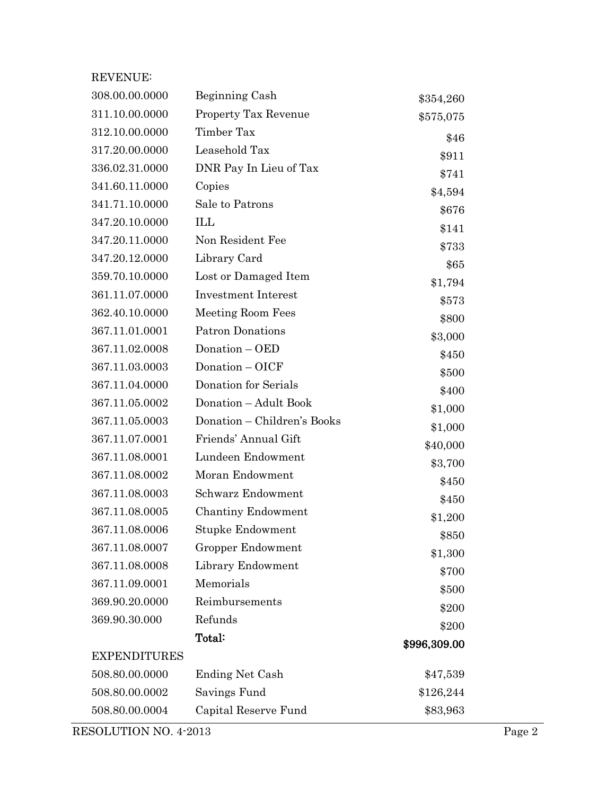| REVENUE:            |                             |              |
|---------------------|-----------------------------|--------------|
| 308.00.00.0000      | Beginning Cash              | \$354,260    |
| 311.10.00.0000      | Property Tax Revenue        | \$575,075    |
| 312.10.00.0000      | Timber Tax                  | \$46         |
| 317.20.00.0000      | Leasehold Tax               | \$911        |
| 336.02.31.0000      | DNR Pay In Lieu of Tax      | \$741        |
| 341.60.11.0000      | Copies                      | \$4,594      |
| 341.71.10.0000      | Sale to Patrons             | \$676        |
| 347.20.10.0000      | ILL                         | \$141        |
| 347.20.11.0000      | Non Resident Fee            | \$733        |
| 347.20.12.0000      | Library Card                | \$65         |
| 359.70.10.0000      | Lost or Damaged Item        | \$1,794      |
| 361.11.07.0000      | <b>Investment Interest</b>  | \$573        |
| 362.40.10.0000      | <b>Meeting Room Fees</b>    | \$800        |
| 367.11.01.0001      | <b>Patron Donations</b>     | \$3,000      |
| 367.11.02.0008      | Donation - OED              | \$450        |
| 367.11.03.0003      | Donation - OICF             | \$500        |
| 367.11.04.0000      | Donation for Serials        | \$400        |
| 367.11.05.0002      | Donation - Adult Book       | \$1,000      |
| 367.11.05.0003      | Donation - Children's Books | \$1,000      |
| 367.11.07.0001      | Friends' Annual Gift        | \$40,000     |
| 367.11.08.0001      | Lundeen Endowment           | \$3,700      |
| 367.11.08.0002      | Moran Endowment             | \$450        |
| 367.11.08.0003      | Schwarz Endowment           | \$450        |
| 367.11.08.0005      | Chantiny Endowment          | \$1,200      |
| 367.11.08.0006      | Stupke Endowment            | \$850        |
| 367.11.08.0007      | Gropper Endowment           | \$1,300      |
| 367.11.08.0008      | Library Endowment           | \$700        |
| 367.11.09.0001      | Memorials                   | \$500        |
| 369.90.20.0000      | Reimbursements              | \$200        |
| 369.90.30.000       | Refunds                     | \$200        |
|                     | Total:                      | \$996,309.00 |
| <b>EXPENDITURES</b> |                             |              |
| 508.80.00.0000      | <b>Ending Net Cash</b>      | \$47,539     |
| 508.80.00.0002      | Savings Fund                | \$126,244    |
| 508.80.00.0004      | Capital Reserve Fund        | \$83,963     |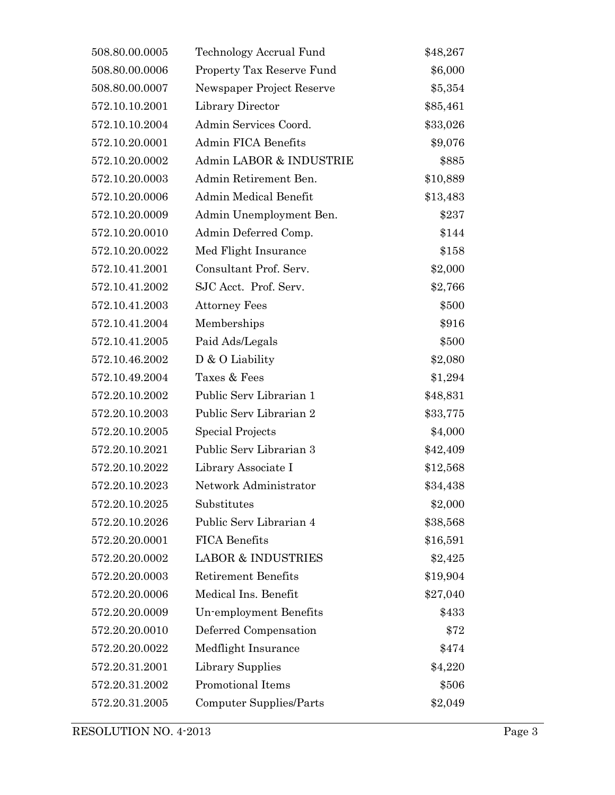| 508.80.00.0005 | Technology Accrual Fund       | \$48,267 |
|----------------|-------------------------------|----------|
| 508.80.00.0006 | Property Tax Reserve Fund     | \$6,000  |
| 508.80.00.0007 | Newspaper Project Reserve     | \$5,354  |
| 572.10.10.2001 | Library Director              | \$85,461 |
| 572.10.10.2004 | Admin Services Coord.         | \$33,026 |
| 572.10.20.0001 | Admin FICA Benefits           | \$9,076  |
| 572.10.20.0002 | Admin LABOR & INDUSTRIE       | \$885    |
| 572.10.20.0003 | Admin Retirement Ben.         | \$10,889 |
| 572.10.20.0006 | Admin Medical Benefit         | \$13,483 |
| 572.10.20.0009 | Admin Unemployment Ben.       | \$237    |
| 572.10.20.0010 | Admin Deferred Comp.          | \$144    |
| 572.10.20.0022 | Med Flight Insurance          | \$158    |
| 572.10.41.2001 | Consultant Prof. Serv.        | \$2,000  |
| 572.10.41.2002 | SJC Acct. Prof. Serv.         | \$2,766  |
| 572.10.41.2003 | <b>Attorney Fees</b>          | \$500    |
| 572.10.41.2004 | Memberships                   | \$916    |
| 572.10.41.2005 | Paid Ads/Legals               | \$500    |
| 572.10.46.2002 | $D$ & O Liability             | \$2,080  |
| 572.10.49.2004 | Taxes & Fees                  | \$1,294  |
| 572.20.10.2002 | Public Serv Librarian 1       | \$48,831 |
| 572.20.10.2003 | Public Serv Librarian 2       | \$33,775 |
| 572.20.10.2005 | Special Projects              | \$4,000  |
| 572.20.10.2021 | Public Serv Librarian 3       | \$42,409 |
| 572.20.10.2022 | Library Associate I           | \$12,568 |
| 572.20.10.2023 | Network Administrator         | \$34,438 |
| 572.20.10.2025 | Substitutes                   | \$2,000  |
| 572.20.10.2026 | Public Serv Librarian 4       | \$38,568 |
| 572.20.20.0001 | <b>FICA Benefits</b>          | \$16,591 |
| 572.20.20.0002 | <b>LABOR &amp; INDUSTRIES</b> | \$2,425  |
| 572.20.20.0003 | <b>Retirement Benefits</b>    | \$19,904 |
| 572.20.20.0006 | Medical Ins. Benefit          | \$27,040 |
| 572.20.20.0009 | Un-employment Benefits        | \$433    |
| 572.20.20.0010 | Deferred Compensation         | \$72     |
| 572.20.20.0022 | Medflight Insurance           | \$474    |
| 572.20.31.2001 | Library Supplies              | \$4,220  |
| 572.20.31.2002 | Promotional Items             | \$506    |
| 572.20.31.2005 | Computer Supplies/Parts       | \$2,049  |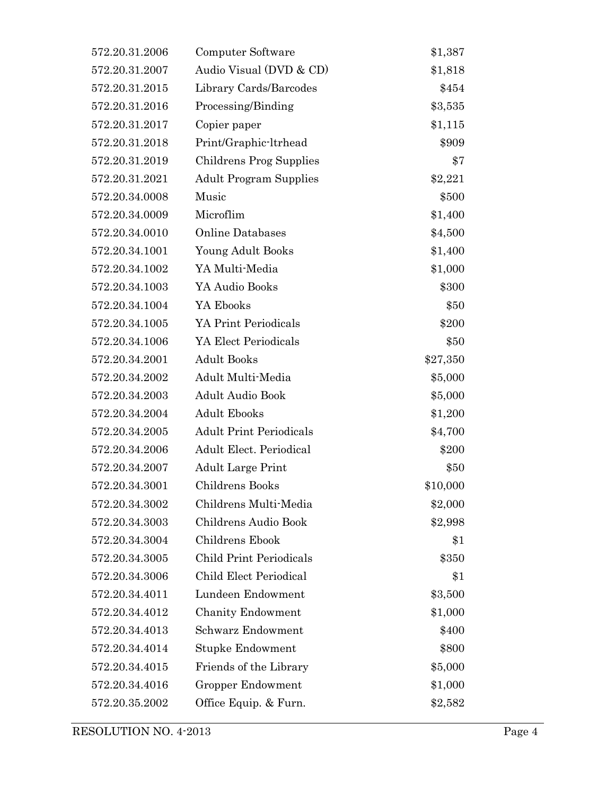| 572.20.31.2006 | Computer Software              | \$1,387  |
|----------------|--------------------------------|----------|
| 572.20.31.2007 | Audio Visual (DVD & CD)        | \$1,818  |
| 572.20.31.2015 | Library Cards/Barcodes         | \$454    |
| 572.20.31.2016 | Processing/Binding             | \$3,535  |
| 572.20.31.2017 | Copier paper                   | \$1,115  |
| 572.20.31.2018 | Print/Graphic-ltrhead          | \$909    |
| 572.20.31.2019 | Childrens Prog Supplies        | \$7      |
| 572.20.31.2021 | <b>Adult Program Supplies</b>  | \$2,221  |
| 572.20.34.0008 | Music                          | \$500    |
| 572.20.34.0009 | Microflim                      | \$1,400  |
| 572.20.34.0010 | <b>Online Databases</b>        | \$4,500  |
| 572.20.34.1001 | Young Adult Books              | \$1,400  |
| 572.20.34.1002 | YA Multi-Media                 | \$1,000  |
| 572.20.34.1003 | YA Audio Books                 | \$300    |
| 572.20.34.1004 | YA Ebooks                      | \$50     |
| 572.20.34.1005 | YA Print Periodicals           | \$200    |
| 572.20.34.1006 | YA Elect Periodicals           | \$50     |
| 572.20.34.2001 | <b>Adult Books</b>             | \$27,350 |
| 572.20.34.2002 | Adult Multi-Media              | \$5,000  |
| 572.20.34.2003 | <b>Adult Audio Book</b>        | \$5,000  |
| 572.20.34.2004 | <b>Adult Ebooks</b>            | \$1,200  |
| 572.20.34.2005 | <b>Adult Print Periodicals</b> | \$4,700  |
| 572.20.34.2006 | Adult Elect. Periodical        | \$200    |
| 572.20.34.2007 | <b>Adult Large Print</b>       | \$50     |
| 572.20.34.3001 | Childrens Books                | \$10,000 |
| 572.20.34.3002 | Childrens Multi-Media          | \$2,000  |
| 572.20.34.3003 | Childrens Audio Book           | \$2,998  |
| 572.20.34.3004 | Childrens Ebook                | \$1      |
| 572.20.34.3005 | <b>Child Print Periodicals</b> | \$350    |
| 572.20.34.3006 | Child Elect Periodical         | \$1      |
| 572.20.34.4011 | Lundeen Endowment              | \$3,500  |
| 572.20.34.4012 | <b>Chanity Endowment</b>       | \$1,000  |
| 572.20.34.4013 | Schwarz Endowment              | \$400    |
| 572.20.34.4014 | Stupke Endowment               | \$800    |
| 572.20.34.4015 | Friends of the Library         | \$5,000  |
| 572.20.34.4016 | Gropper Endowment              | \$1,000  |
| 572.20.35.2002 | Office Equip. & Furn.          | \$2,582  |